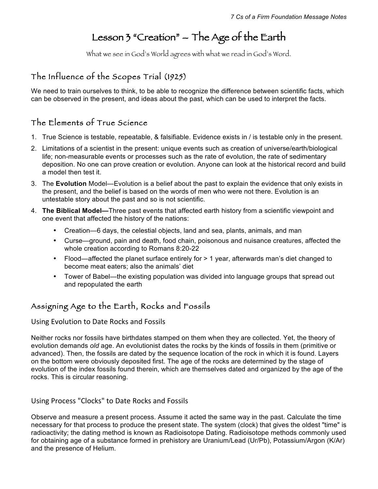# Lesson 3 "Creation" – The Age of the Earth

What we see in God's World agrees with what we read in God's Word.

## The Influence of the Scopes Trial (1925)

We need to train ourselves to think, to be able to recognize the difference between scientific facts, which can be observed in the present, and ideas about the past, which can be used to interpret the facts.

### The Elements of True Science

- 1. True Science is testable, repeatable, & falsifiable. Evidence exists in / is testable only in the present.
- 2. Limitations of a scientist in the present: unique events such as creation of universe/earth/biological life; non-measurable events or processes such as the rate of evolution, the rate of sedimentary deposition. No one can prove creation or evolution. Anyone can look at the historical record and build a model then test it.
- 3. The **Evolution** Model—Evolution is a belief about the past to explain the evidence that only exists in the present, and the belief is based on the words of men who were not there. Evolution is an untestable story about the past and so is not scientific.
- 4. **The Biblical Model—**Three past events that affected earth history from a scientific viewpoint and one event that affected the history of the nations:
	- Creation—6 days, the celestial objects, land and sea, plants, animals, and man
	- Curse—ground, pain and death, food chain, poisonous and nuisance creatures, affected the whole creation according to Romans 8:20-22
	- Flood—affected the planet surface entirely for > 1 year, afterwards man's diet changed to become meat eaters; also the animals' diet
	- Tower of Babel—the existing population was divided into language groups that spread out and repopulated the earth

### Assigning Age to the Earth, Rocks and Fossils

Using Evolution to Date Rocks and Fossils

Neither rocks nor fossils have birthdates stamped on them when they are collected. Yet, the theory of evolution demands *old* age. An evolutionist dates the rocks by the kinds of fossils in them (primitive or advanced). Then, the fossils are dated by the sequence location of the rock in which it is found. Layers on the bottom were obviously deposited first. The age of the rocks are determined by the stage of evolution of the index fossils found therein, which are themselves dated and organized by the age of the rocks. This is circular reasoning.

Using Process "Clocks" to Date Rocks and Fossils

Observe and measure a present process. Assume it acted the same way in the past. Calculate the time necessary for that process to produce the present state. The system (clock) that gives the oldest "time" is radioactivity; the dating method is known as Radioisotope Dating. Radioisotope methods commonly used for obtaining age of a substance formed in prehistory are Uranium/Lead (Ur/Pb), Potassium/Argon (K/Ar) and the presence of Helium.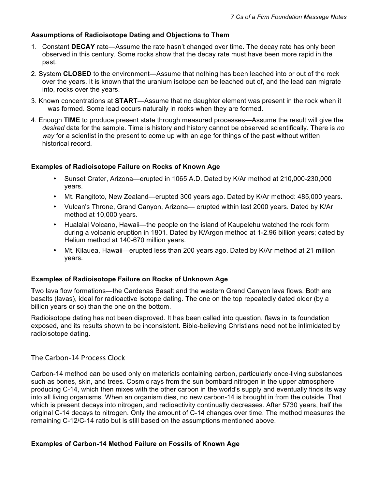#### **Assumptions of Radioisotope Dating and Objections to Them**

- 1. Constant **DECAY** rate—Assume the rate hasn't changed over time. The decay rate has only been observed in this century. Some rocks show that the decay rate must have been more rapid in the past.
- 2. System **CLOSED** to the environment—Assume that nothing has been leached into or out of the rock over the years. It is known that the uranium isotope can be leached out of, and the lead can migrate into, rocks over the years.
- 3. Known concentrations at **START**—Assume that no daughter element was present in the rock when it was formed. Some lead occurs naturally in rocks when they are formed.
- 4. Enough **TIME** to produce present state through measured processes—Assume the result will give the *desired* date for the sample. Time is history and history cannot be observed scientifically. There is *no way* for a scientist in the present to come up with an age for things of the past without written historical record.

#### **Examples of Radioisotope Failure on Rocks of Known Age**

- Sunset Crater, Arizona—erupted in 1065 A.D. Dated by K/Ar method at 210,000-230,000 years.
- Mt. Rangitoto, New Zealand—erupted 300 years ago. Dated by K/Ar method: 485,000 years.
- Vulcan's Throne, Grand Canyon, Arizona— erupted within last 2000 years. Dated by K/Ar method at 10,000 years.
- Hualalai Volcano, Hawaii—the people on the island of Kaupelehu watched the rock form during a volcanic eruption in 1801. Dated by K/Argon method at 1-2.96 billion years; dated by Helium method at 140-670 million years.
- Mt. Kilauea, Hawaii—erupted less than 200 years ago. Dated by K/Ar method at 21 million years.

#### **Examples of Radioisotope Failure on Rocks of Unknown Age**

**T**wo lava flow formations—the Cardenas Basalt and the western Grand Canyon lava flows. Both are basalts (lavas), ideal for radioactive isotope dating. The one on the top repeatedly dated older (by a billion years or so) than the one on the bottom.

Radioisotope dating has not been disproved. It has been called into question, flaws in its foundation exposed, and its results shown to be inconsistent. Bible-believing Christians need not be intimidated by radioisotope dating.

The Carbon-14 Process Clock

Carbon-14 method can be used only on materials containing carbon, particularly once-living substances such as bones, skin, and trees. Cosmic rays from the sun bombard nitrogen in the upper atmosphere producing C-14, which then mixes with the other carbon in the world's supply and eventually finds its way into all living organisms. When an organism dies, no new carbon-14 is brought in from the outside. That which is present decays into nitrogen, and radioactivity continually decreases. After 5730 years, half the original C-14 decays to nitrogen. Only the amount of C-14 changes over time. The method measures the remaining C-12/C-14 ratio but is still based on the assumptions mentioned above.

#### **Examples of Carbon-14 Method Failure on Fossils of Known Age**